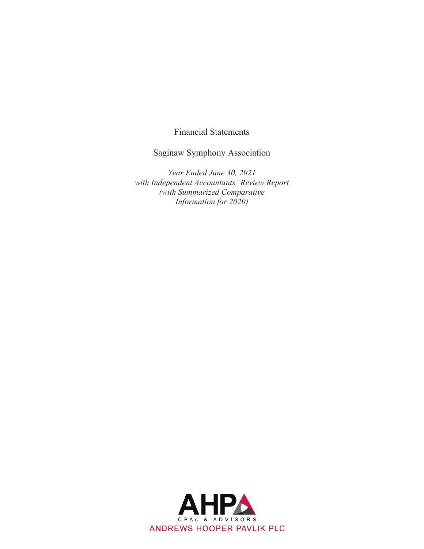Financial Statements

Saginaw Symphony Association

*Year Ended June 30, 2021 with Independent Accountants' Review Report (with Summarized Comparative Information for 2020)* 

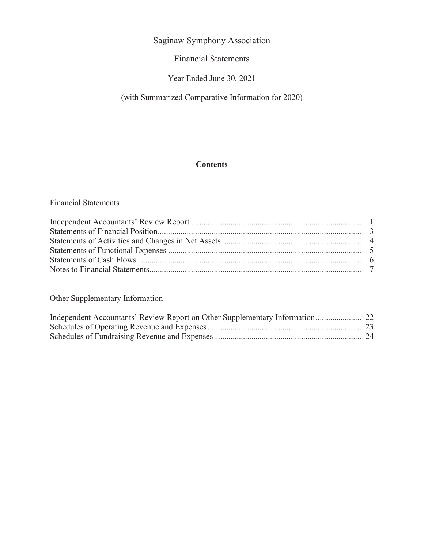## Financial Statements

# Year Ended June 30, 2021

# (with Summarized Comparative Information for 2020)

## **Contents**

## Financial Statements

## Other Supplementary Information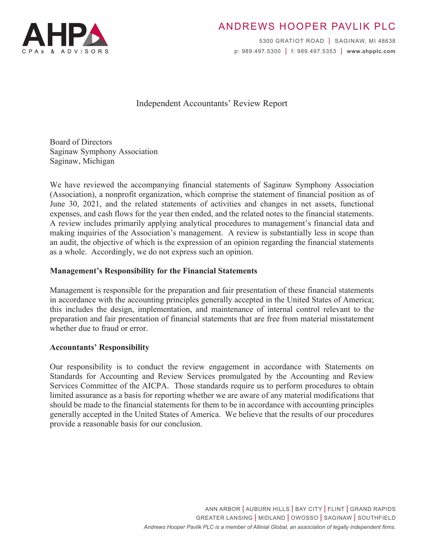

# ANDREWS HOOPER PAVLIK PLC

5300 GRATIOT ROAD | SAGINAW, MI 48638 p: 989.497.5300 | f: 989.497.5353 | **www.ahpplc.com**

## Independent Accountants' Review Report

Board of Directors Saginaw Symphony Association Saginaw, Michigan

We have reviewed the accompanying financial statements of Saginaw Symphony Association (Association), a nonprofit organization, which comprise the statement of financial position as of June 30, 2021, and the related statements of activities and changes in net assets, functional expenses, and cash flows for the year then ended, and the related notes to the financial statements. A review includes primarily applying analytical procedures to management's financial data and making inquiries of the Association's management. A review is substantially less in scope than an audit, the objective of which is the expression of an opinion regarding the financial statements as a whole. Accordingly, we do not express such an opinion.

## **Management's Responsibility for the Financial Statements**

Management is responsible for the preparation and fair presentation of these financial statements in accordance with the accounting principles generally accepted in the United States of America; this includes the design, implementation, and maintenance of internal control relevant to the preparation and fair presentation of financial statements that are free from material misstatement whether due to fraud or error.

#### **Accountants' Responsibility**

Our responsibility is to conduct the review engagement in accordance with Statements on Standards for Accounting and Review Services promulgated by the Accounting and Review Services Committee of the AICPA. Those standards require us to perform procedures to obtain limited assurance as a basis for reporting whether we are aware of any material modifications that should be made to the financial statements for them to be in accordance with accounting principles generally accepted in the United States of America. We believe that the results of our procedures provide a reasonable basis for our conclusion.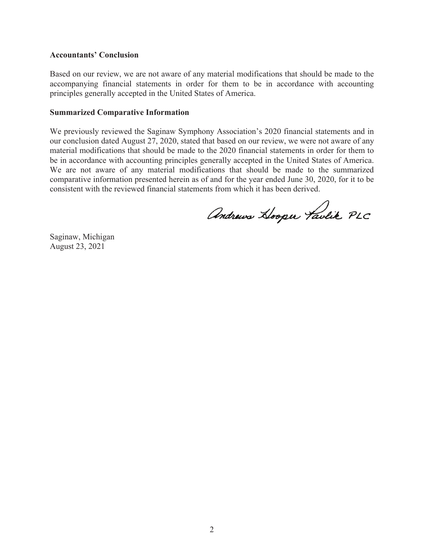#### **Accountants' Conclusion**

Based on our review, we are not aware of any material modifications that should be made to the accompanying financial statements in order for them to be in accordance with accounting principles generally accepted in the United States of America.

#### **Summarized Comparative Information**

We previously reviewed the Saginaw Symphony Association's 2020 financial statements and in our conclusion dated August 27, 2020, stated that based on our review, we were not aware of any material modifications that should be made to the 2020 financial statements in order for them to be in accordance with accounting principles generally accepted in the United States of America. We are not aware of any material modifications that should be made to the summarized comparative information presented herein as of and for the year ended June 30, 2020, for it to be consistent with the reviewed financial statements from which it has been derived.

Andrews Hooper Taulik PLC

Saginaw, Michigan August 23, 2021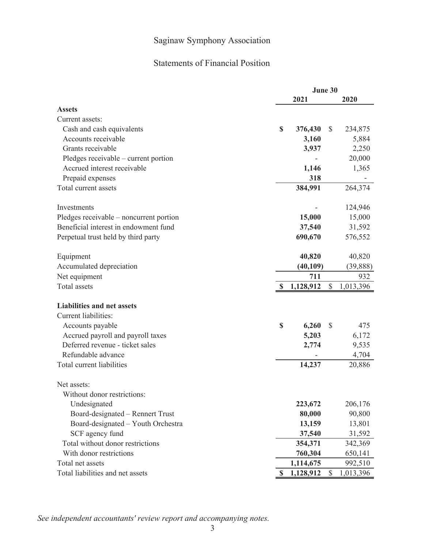## Statements of Financial Position

|                                         | June 30 |           |               |           |
|-----------------------------------------|---------|-----------|---------------|-----------|
|                                         |         | 2021      |               | 2020      |
| <b>Assets</b>                           |         |           |               |           |
| Current assets:                         |         |           |               |           |
| Cash and cash equivalents               | \$      | 376,430   | $\mathcal{S}$ | 234,875   |
| Accounts receivable                     |         | 3,160     |               | 5,884     |
| Grants receivable                       |         | 3,937     |               | 2,250     |
| Pledges receivable – current portion    |         |           |               | 20,000    |
| Accrued interest receivable             |         | 1,146     |               | 1,365     |
| Prepaid expenses                        |         | 318       |               |           |
| Total current assets                    |         | 384,991   |               | 264,374   |
|                                         |         |           |               |           |
| Investments                             |         |           |               | 124,946   |
| Pledges receivable - noncurrent portion |         | 15,000    |               | 15,000    |
| Beneficial interest in endowment fund   |         | 37,540    |               | 31,592    |
| Perpetual trust held by third party     |         | 690,670   |               | 576,552   |
|                                         |         |           |               |           |
| Equipment                               |         | 40,820    |               | 40,820    |
| Accumulated depreciation                |         | (40, 109) |               | (39, 888) |
| Net equipment                           |         | 711       |               | 932       |
| <b>Total</b> assets                     |         | 1,128,912 | \$            | 1,013,396 |
|                                         |         |           |               |           |
| <b>Liabilities and net assets</b>       |         |           |               |           |
| Current liabilities:                    |         |           |               |           |
| Accounts payable                        | \$      | 6,260     | S             | 475       |
| Accrued payroll and payroll taxes       |         | 5,203     |               | 6,172     |
| Deferred revenue - ticket sales         |         | 2,774     |               | 9,535     |
| Refundable advance                      |         |           |               | 4,704     |
| Total current liabilities               |         | 14,237    |               | 20,886    |
|                                         |         |           |               |           |
| Net assets:                             |         |           |               |           |
| Without donor restrictions:             |         |           |               |           |
| Undesignated                            |         | 223,672   |               | 206,176   |
| Board-designated - Rennert Trust        |         | 80,000    |               | 90,800    |
| Board-designated - Youth Orchestra      |         | 13,159    |               | 13,801    |
| SCF agency fund                         |         | 37,540    |               | 31,592    |
| Total without donor restrictions        |         | 354,371   |               | 342,369   |
| With donor restrictions                 |         | 760,304   |               | 650,141   |
| Total net assets                        |         | 1,114,675 |               | 992,510   |
| Total liabilities and net assets        | \$      | 1,128,912 | \$            | 1,013,396 |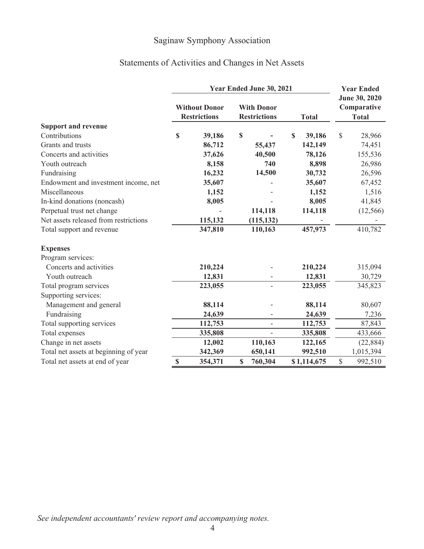# Statements of Activities and Changes in Net Assets

|                                       | Year Ended June 30, 2021 |                                             |    |                                          |                       |              | <b>Year Ended</b>                            |  |
|---------------------------------------|--------------------------|---------------------------------------------|----|------------------------------------------|-----------------------|--------------|----------------------------------------------|--|
|                                       |                          | <b>Without Donor</b><br><b>Restrictions</b> |    | <b>With Donor</b><br><b>Restrictions</b> | <b>Total</b>          |              | June 30, 2020<br>Comparative<br><b>Total</b> |  |
| <b>Support and revenue</b>            |                          |                                             |    |                                          |                       |              |                                              |  |
| Contributions                         | $\mathbf S$              | 39,186                                      | \$ |                                          | $\mathbf S$<br>39,186 | $\mathbb{S}$ | 28,966                                       |  |
| Grants and trusts                     |                          | 86,712                                      |    | 55,437                                   | 142,149               |              | 74,451                                       |  |
| Concerts and activities               |                          | 37,626                                      |    | 40,500                                   | 78,126                |              | 155,536                                      |  |
| Youth outreach                        |                          | 8,158                                       |    | 740                                      | 8,898                 |              | 26,986                                       |  |
| Fundraising                           |                          | 16,232                                      |    | 14,500                                   | 30,732                |              | 26,596                                       |  |
| Endowment and investment income, net  |                          | 35,607                                      |    |                                          | 35,607                |              | 67,452                                       |  |
| Miscellaneous                         |                          | 1,152                                       |    |                                          | 1,152                 |              | 1,516                                        |  |
| In-kind donations (noncash)           |                          | 8,005                                       |    |                                          | 8,005                 |              | 41,845                                       |  |
| Perpetual trust net change            |                          |                                             |    | 114,118                                  | 114,118               |              | (12,566)                                     |  |
| Net assets released from restrictions |                          | 115,132                                     |    | (115, 132)                               |                       |              |                                              |  |
| Total support and revenue             |                          | 347,810                                     |    | 110,163                                  | 457,973               |              | 410,782                                      |  |
| <b>Expenses</b>                       |                          |                                             |    |                                          |                       |              |                                              |  |
| Program services:                     |                          |                                             |    |                                          |                       |              |                                              |  |
| Concerts and activities               |                          | 210,224                                     |    |                                          | 210,224               |              | 315,094                                      |  |
| Youth outreach                        |                          | 12,831                                      |    |                                          | 12,831                |              | 30,729                                       |  |
| Total program services                |                          | 223,055                                     |    | $\overline{\phantom{0}}$                 | 223,055               |              | 345,823                                      |  |
| Supporting services:                  |                          |                                             |    |                                          |                       |              |                                              |  |
| Management and general                |                          | 88,114                                      |    |                                          | 88,114                |              | 80,607                                       |  |
| Fundraising                           |                          | 24,639                                      |    |                                          | 24,639                |              | 7,236                                        |  |
| Total supporting services             |                          | 112,753                                     |    | $\overline{\phantom{0}}$                 | 112,753               |              | 87,843                                       |  |
| Total expenses                        |                          | 335,808                                     |    |                                          | 335,808               |              | 433,666                                      |  |
| Change in net assets                  |                          | 12,002                                      |    | 110,163                                  | 122,165               |              | (22, 884)                                    |  |
| Total net assets at beginning of year |                          | 342,369                                     |    | 650,141                                  | 992,510               |              | 1,015,394                                    |  |
| Total net assets at end of year       | $\mathbb{S}$             | 354,371                                     | \$ | 760,304                                  | \$1,114,675           | \$           | 992,510                                      |  |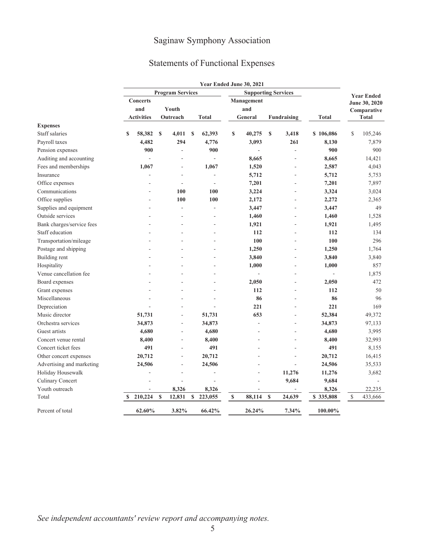# Statements of Functional Expenses

|                           |                   |             |                         |              | Year Ended June 30, 2021 |             |                            |             |                |              |               |                   |
|---------------------------|-------------------|-------------|-------------------------|--------------|--------------------------|-------------|----------------------------|-------------|----------------|--------------|---------------|-------------------|
|                           |                   |             | <b>Program Services</b> |              |                          |             | <b>Supporting Services</b> |             |                |              |               | <b>Year Ended</b> |
|                           | <b>Concerts</b>   |             |                         |              |                          |             | Management                 |             |                |              |               | June 30, 2020     |
|                           | and               |             | Youth                   |              |                          |             | and                        |             |                |              |               | Comparative       |
|                           | <b>Activities</b> |             | Outreach                |              | <b>Total</b>             |             | General                    |             | Fundraising    | <b>Total</b> |               | <b>Total</b>      |
| <b>Expenses</b>           |                   |             |                         |              |                          |             |                            |             |                |              |               |                   |
| Staff salaries            | 58,382<br>S       | <b>S</b>    | 4,011                   | $\mathbf{s}$ | 62,393                   | \$          | 40,275                     | $\mathbf S$ | 3,418          | \$106,086    | \$            | 105,246           |
| Payroll taxes             | 4,482             |             | 294                     |              | 4,776                    |             | 3,093                      |             | 261            | 8,130        |               | 7,879             |
| Pension expenses          | 900               |             | ä,                      |              | 900                      |             | ÷,                         |             | ÷,             | 900          |               | 900               |
| Auditing and accounting   |                   |             |                         |              | L.                       |             | 8,665                      |             | J.             | 8,665        |               | 14,421            |
| Fees and memberships      | 1,067             |             | ÷                       |              | 1,067                    |             | 1,520                      |             | ÷.             | 2,587        |               | 4,043             |
| Insurance                 |                   |             | ä,                      |              | ÷,                       |             | 5,712                      |             | $\sim$         | 5,712        |               | 5,753             |
| Office expenses           |                   |             | ä,                      |              |                          |             | 7,201                      |             |                | 7,201        |               | 7,897             |
| Communications            |                   |             | 100                     |              | 100                      |             | 3,224                      |             |                | 3,324        |               | 3,024             |
| Office supplies           |                   |             | 100                     |              | 100                      |             | 2,172                      |             | $\overline{a}$ | 2,272        |               | 2,365             |
| Supplies and equipment    |                   |             | ä,                      |              |                          |             | 3,447                      |             |                | 3,447        |               | 49                |
| Outside services          |                   |             |                         |              |                          |             | 1,460                      |             |                | 1,460        |               | 1,528             |
| Bank charges/service fees |                   |             |                         |              |                          |             | 1,921                      |             | $\sim$         | 1,921        |               | 1,495             |
| Staff education           |                   |             |                         |              |                          |             | 112                        |             | J.             | 112          |               | 134               |
| Transportation/mileage    |                   |             |                         |              |                          |             | 100                        |             |                | 100          |               | 296               |
| Postage and shipping      |                   |             |                         |              |                          |             | 1,250                      |             | L.             | 1,250        |               | 1,764             |
| Building rent             |                   |             |                         |              |                          |             | 3,840                      |             | ÷,             | 3,840        |               | 3,840             |
| Hospitality               |                   |             |                         |              |                          |             | 1,000                      |             | ä,             | 1,000        |               | 857               |
| Venue cancellation fee    |                   |             |                         |              |                          |             |                            |             | ÷              |              |               | 1,875             |
| Board expenses            |                   |             |                         |              |                          |             | 2,050                      |             |                | 2,050        |               | 472               |
| Grant expenses            |                   |             |                         |              |                          |             | 112                        |             |                | 112          |               | 50                |
| Miscellaneous             |                   |             |                         |              |                          |             | 86                         |             |                | 86           |               | 96                |
| Depreciation              |                   |             |                         |              |                          |             | 221                        |             | ÷              | 221          |               | 169               |
| Music director            | 51,731            |             | ä,                      |              | 51,731                   |             | 653                        |             | ä,             | 52,384       |               | 49,372            |
| Orchestra services        | 34,873            |             | ÷,                      |              | 34,873                   |             |                            |             | ÷,             | 34,873       |               | 97,133            |
| Guest artists             | 4,680             |             | ä,                      |              | 4,680                    |             |                            |             |                | 4,680        |               | 3,995             |
| Concert venue rental      | 8,400             |             | ä,                      |              | 8,400                    |             |                            |             | ÷              | 8,400        |               | 32,993            |
| Concert ticket fees       | 491               |             |                         |              | 491                      |             |                            |             |                | 491          |               | 8,155             |
| Other concert expenses    | 20,712            |             | ÷                       |              | 20,712                   |             |                            |             |                | 20,712       |               | 16,415            |
| Advertising and marketing | 24,506            |             | $\overline{a}$          |              | 24,506                   |             |                            |             | ÷,             | 24,506       |               | 35,533            |
| Holiday Housewalk         |                   |             | ÷,                      |              |                          |             |                            |             | 11,276         | 11,276       |               | 3,682             |
| Culinary Concert          |                   |             |                         |              |                          |             |                            |             | 9,684          | 9,684        |               |                   |
| Youth outreach            |                   |             | 8,326                   |              | 8,326                    |             |                            |             |                | 8,326        |               | 22,235            |
| Total                     | 210,224<br>\$     | $\mathbf S$ | 12,831                  | $\mathbf S$  | 223,055                  | $\mathbf S$ | 88,114                     | $\mathbf S$ | 24,639         | \$335,808    | $\mathcal{S}$ | 433,666           |
| Percent of total          | 62.60%            |             | 3.82%                   |              | 66.42%                   |             | 26.24%                     |             | 7.34%          | 100.00%      |               |                   |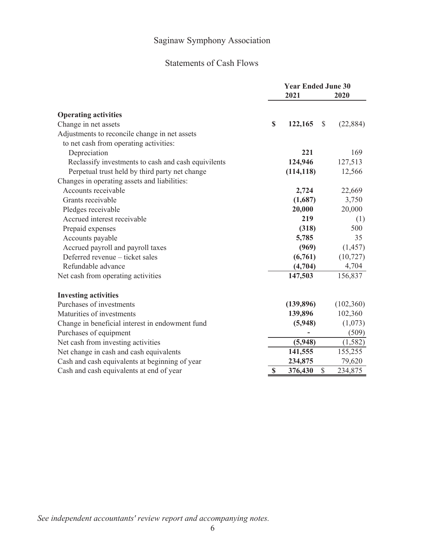## Statements of Cash Flows

|                                                     | <b>Year Ended June 30</b><br>2021 | 2020      |
|-----------------------------------------------------|-----------------------------------|-----------|
| <b>Operating activities</b>                         |                                   |           |
| Change in net assets                                | \$<br>122,165<br>$\mathcal{S}$    | (22, 884) |
| Adjustments to reconcile change in net assets       |                                   |           |
| to net cash from operating activities:              |                                   |           |
| Depreciation                                        | 221                               | 169       |
| Reclassify investments to cash and cash equivilents | 124,946                           | 127,513   |
| Perpetual trust held by third party net change      | (114, 118)                        | 12,566    |
| Changes in operating assets and liabilities:        |                                   |           |
| Accounts receivable                                 | 2,724                             | 22,669    |
| Grants receivable                                   | (1,687)                           | 3,750     |
| Pledges receivable                                  | 20,000                            | 20,000    |
| Accrued interest receivable                         | 219                               | (1)       |
| Prepaid expenses                                    | (318)                             | 500       |
| Accounts payable                                    | 5,785                             | 35        |
| Accrued payroll and payroll taxes                   | (969)                             | (1, 457)  |
| Deferred revenue - ticket sales                     | (6,761)                           | (10, 727) |
| Refundable advance                                  | (4,704)                           | 4,704     |
| Net cash from operating activities                  | 147,503                           | 156,837   |
| <b>Investing activities</b>                         |                                   |           |
| Purchases of investments                            | (139, 896)                        | (102,360) |
| Maturities of investments                           | 139,896                           | 102,360   |
| Change in beneficial interest in endowment fund     | (5,948)                           | (1,073)   |
| Purchases of equipment                              |                                   | (509)     |
| Net cash from investing activities                  | (5,948)                           | (1, 582)  |
| Net change in cash and cash equivalents             | 141,555                           | 155,255   |
| Cash and cash equivalents at beginning of year      | 234,875                           | 79,620    |
| Cash and cash equivalents at end of year            | \$<br>\$<br>376,430               | 234,875   |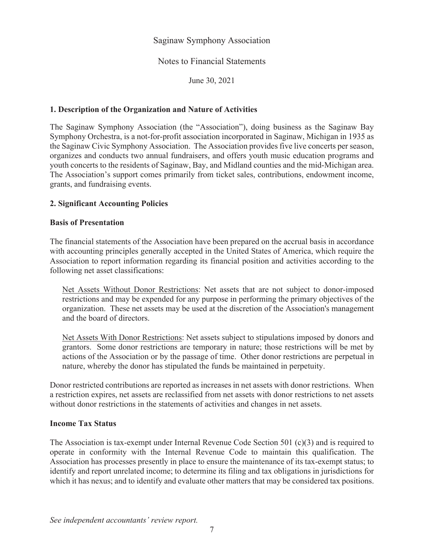## Notes to Financial Statements

June 30, 2021

## **1. Description of the Organization and Nature of Activities**

The Saginaw Symphony Association (the "Association"), doing business as the Saginaw Bay Symphony Orchestra, is a not-for-profit association incorporated in Saginaw, Michigan in 1935 as the Saginaw Civic Symphony Association. The Association provides five live concerts per season, organizes and conducts two annual fundraisers, and offers youth music education programs and youth concerts to the residents of Saginaw, Bay, and Midland counties and the mid-Michigan area. The Association's support comes primarily from ticket sales, contributions, endowment income, grants, and fundraising events.

## **2. Significant Accounting Policies**

## **Basis of Presentation**

The financial statements of the Association have been prepared on the accrual basis in accordance with accounting principles generally accepted in the United States of America, which require the Association to report information regarding its financial position and activities according to the following net asset classifications:

Net Assets Without Donor Restrictions: Net assets that are not subject to donor-imposed restrictions and may be expended for any purpose in performing the primary objectives of the organization. These net assets may be used at the discretion of the Association's management and the board of directors.

Net Assets With Donor Restrictions: Net assets subject to stipulations imposed by donors and grantors. Some donor restrictions are temporary in nature; those restrictions will be met by actions of the Association or by the passage of time. Other donor restrictions are perpetual in nature, whereby the donor has stipulated the funds be maintained in perpetuity.

Donor restricted contributions are reported as increases in net assets with donor restrictions. When a restriction expires, net assets are reclassified from net assets with donor restrictions to net assets without donor restrictions in the statements of activities and changes in net assets.

#### **Income Tax Status**

The Association is tax-exempt under Internal Revenue Code Section 501 (c)(3) and is required to operate in conformity with the Internal Revenue Code to maintain this qualification. The Association has processes presently in place to ensure the maintenance of its tax-exempt status; to identify and report unrelated income; to determine its filing and tax obligations in jurisdictions for which it has nexus; and to identify and evaluate other matters that may be considered tax positions.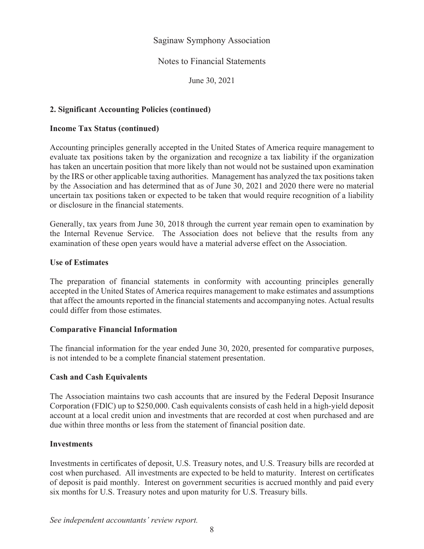## Notes to Financial Statements

June 30, 2021

## **2. Significant Accounting Policies (continued)**

#### **Income Tax Status (continued)**

Accounting principles generally accepted in the United States of America require management to evaluate tax positions taken by the organization and recognize a tax liability if the organization has taken an uncertain position that more likely than not would not be sustained upon examination by the IRS or other applicable taxing authorities. Management has analyzed the tax positions taken by the Association and has determined that as of June 30, 2021 and 2020 there were no material uncertain tax positions taken or expected to be taken that would require recognition of a liability or disclosure in the financial statements.

Generally, tax years from June 30, 2018 through the current year remain open to examination by the Internal Revenue Service. The Association does not believe that the results from any examination of these open years would have a material adverse effect on the Association.

#### **Use of Estimates**

The preparation of financial statements in conformity with accounting principles generally accepted in the United States of America requires management to make estimates and assumptions that affect the amounts reported in the financial statements and accompanying notes. Actual results could differ from those estimates.

#### **Comparative Financial Information**

The financial information for the year ended June 30, 2020, presented for comparative purposes, is not intended to be a complete financial statement presentation.

## **Cash and Cash Equivalents**

The Association maintains two cash accounts that are insured by the Federal Deposit Insurance Corporation (FDlC) up to \$250,000. Cash equivalents consists of cash held in a high-yield deposit account at a local credit union and investments that are recorded at cost when purchased and are due within three months or less from the statement of financial position date.

#### **Investments**

Investments in certificates of deposit, U.S. Treasury notes, and U.S. Treasury bills are recorded at cost when purchased. All investments are expected to be held to maturity. Interest on certificates of deposit is paid monthly. Interest on government securities is accrued monthly and paid every six months for U.S. Treasury notes and upon maturity for U.S. Treasury bills.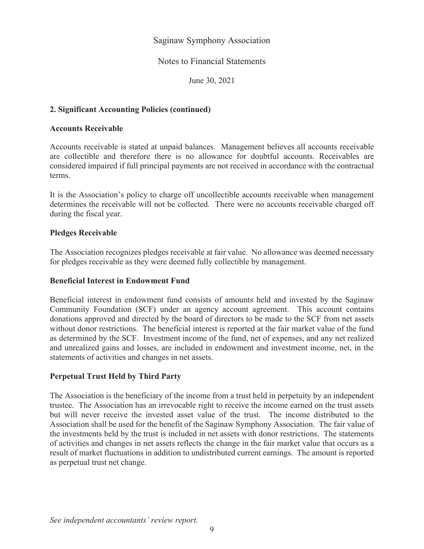### Notes to Financial Statements

June 30, 2021

## **2. Significant Accounting Policies (continued)**

#### **Accounts Receivable**

Accounts receivable is stated at unpaid balances. Management believes all accounts receivable are collectible and therefore there is no allowance for doubtful accounts. Receivables are considered impaired if full principal payments are not received in accordance with the contractual terms.

It is the Association's policy to charge off uncollectible accounts receivable when management determines the receivable will not be collected. There were no accounts receivable charged off during the fiscal year.

#### **Pledges Receivable**

The Association recognizes pledges receivable at fair value. No allowance was deemed necessary for pledges receivable as they were deemed fully collectible by management.

#### **Beneficial Interest in Endowment Fund**

Beneficial interest in endowment fund consists of amounts held and invested by the Saginaw Community Foundation (SCF) under an agency account agreement. This account contains donations approved and directed by the board of directors to be made to the SCF from net assets without donor restrictions. The beneficial interest is reported at the fair market value of the fund as determined by the SCF. Investment income of the fund, net of expenses, and any net realized and unrealized gains and losses, are included in endowment and investment income, net, in the statements of activities and changes in net assets.

## **Perpetual Trust Held by Third Party**

The Association is the beneficiary of the income from a trust held in perpetuity by an independent trustee. The Association has an irrevocable right to receive the income earned on the trust assets but will never receive the invested asset value of the trust. The income distributed to the Association shall be used for the benefit of the Saginaw Symphony Association. The fair value of the investments held by the trust is included in net assets with donor restrictions. The statements of activities and changes in net assets reflects the change in the fair market value that occurs as a result of market fluctuations in addition to undistributed current earnings. The amount is reported as perpetual trust net change.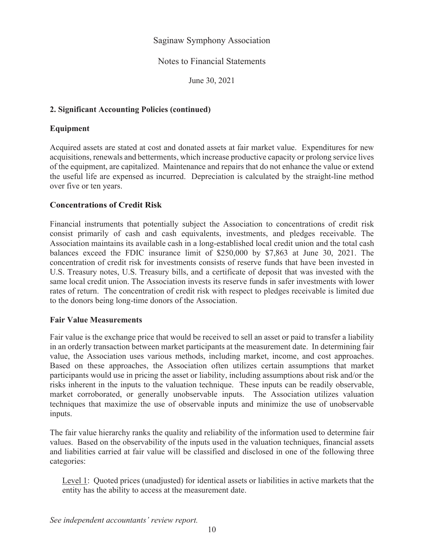## Notes to Financial Statements

June 30, 2021

## **2. Significant Accounting Policies (continued)**

## **Equipment**

Acquired assets are stated at cost and donated assets at fair market value. Expenditures for new acquisitions, renewals and betterments, which increase productive capacity or prolong service lives of the equipment, are capitalized. Maintenance and repairs that do not enhance the value or extend the useful life are expensed as incurred. Depreciation is calculated by the straight-line method over five or ten years.

## **Concentrations of Credit Risk**

Financial instruments that potentially subject the Association to concentrations of credit risk consist primarily of cash and cash equivalents, investments, and pledges receivable. The Association maintains its available cash in a long-established local credit union and the total cash balances exceed the FDIC insurance limit of \$250,000 by \$7,863 at June 30, 2021. The concentration of credit risk for investments consists of reserve funds that have been invested in U.S. Treasury notes, U.S. Treasury bills, and a certificate of deposit that was invested with the same local credit union. The Association invests its reserve funds in safer investments with lower rates of return. The concentration of credit risk with respect to pledges receivable is limited due to the donors being long-time donors of the Association.

#### **Fair Value Measurements**

Fair value is the exchange price that would be received to sell an asset or paid to transfer a liability in an orderly transaction between market participants at the measurement date. In determining fair value, the Association uses various methods, including market, income, and cost approaches. Based on these approaches, the Association often utilizes certain assumptions that market participants would use in pricing the asset or liability, including assumptions about risk and/or the risks inherent in the inputs to the valuation technique. These inputs can be readily observable, market corroborated, or generally unobservable inputs. The Association utilizes valuation techniques that maximize the use of observable inputs and minimize the use of unobservable inputs.

The fair value hierarchy ranks the quality and reliability of the information used to determine fair values. Based on the observability of the inputs used in the valuation techniques, financial assets and liabilities carried at fair value will be classified and disclosed in one of the following three categories:

Level 1: Quoted prices (unadjusted) for identical assets or liabilities in active markets that the entity has the ability to access at the measurement date.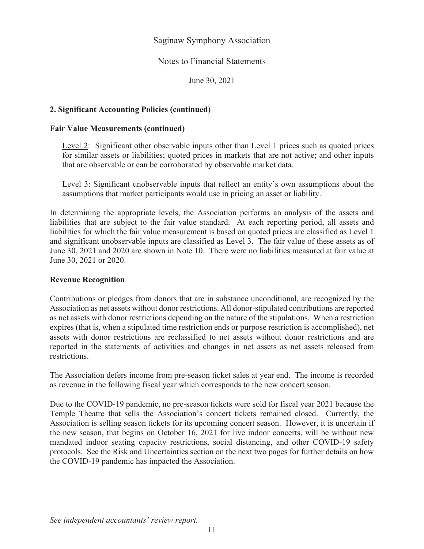#### Notes to Financial Statements

June 30, 2021

## **2. Significant Accounting Policies (continued)**

#### **Fair Value Measurements (continued)**

Level 2: Significant other observable inputs other than Level 1 prices such as quoted prices for similar assets or liabilities; quoted prices in markets that are not active; and other inputs that are observable or can be corroborated by observable market data.

Level 3: Significant unobservable inputs that reflect an entity's own assumptions about the assumptions that market participants would use in pricing an asset or liability.

In determining the appropriate levels, the Association performs an analysis of the assets and liabilities that are subject to the fair value standard. At each reporting period, all assets and liabilities for which the fair value measurement is based on quoted prices are classified as Level 1 and significant unobservable inputs are classified as Level 3. The fair value of these assets as of June 30, 2021 and 2020 are shown in Note 10. There were no liabilities measured at fair value at June 30, 2021 or 2020.

#### **Revenue Recognition**

Contributions or pledges from donors that are in substance unconditional, are recognized by the Association as net assets without donor restrictions. All donor-stipulated contributions are reported as net assets with donor restrictions depending on the nature of the stipulations. When a restriction expires (that is, when a stipulated time restriction ends or purpose restriction is accomplished), net assets with donor restrictions are reclassified to net assets without donor restrictions and are reported in the statements of activities and changes in net assets as net assets released from restrictions.

The Association defers income from pre-season ticket sales at year end. The income is recorded as revenue in the following fiscal year which corresponds to the new concert season.

Due to the COVID-19 pandemic, no pre-season tickets were sold for fiscal year 2021 because the Temple Theatre that sells the Association's concert tickets remained closed. Currently, the Association is selling season tickets for its upcoming concert season. However, it is uncertain if the new season, that begins on October 16, 2021 for live indoor concerts, will be without new mandated indoor seating capacity restrictions, social distancing, and other COVID-19 safety protocols. See the Risk and Uncertainties section on the next two pages for further details on how the COVID-19 pandemic has impacted the Association.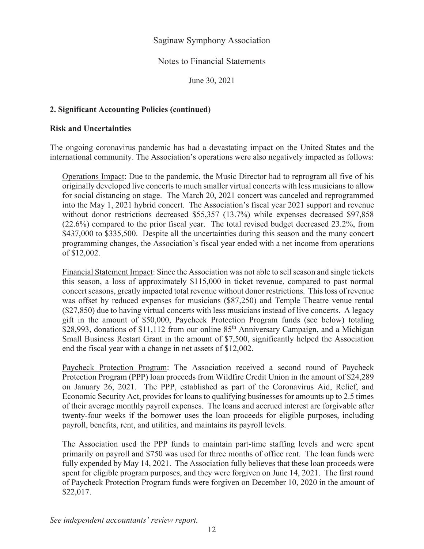### Notes to Financial Statements

June 30, 2021

## **2. Significant Accounting Policies (continued)**

#### **Risk and Uncertainties**

The ongoing coronavirus pandemic has had a devastating impact on the United States and the international community. The Association's operations were also negatively impacted as follows:

Operations Impact: Due to the pandemic, the Music Director had to reprogram all five of his originally developed live concerts to much smaller virtual concerts with less musicians to allow for social distancing on stage. The March 20, 2021 concert was canceled and reprogrammed into the May 1, 2021 hybrid concert. The Association's fiscal year 2021 support and revenue without donor restrictions decreased \$55,357 (13.7%) while expenses decreased \$97,858 (22.6%) compared to the prior fiscal year. The total revised budget decreased 23.2%, from \$437,000 to \$335,500. Despite all the uncertainties during this season and the many concert programming changes, the Association's fiscal year ended with a net income from operations of \$12,002.

Financial Statement Impact: Since the Association was not able to sell season and single tickets this season, a loss of approximately \$115,000 in ticket revenue, compared to past normal concert seasons, greatly impacted total revenue without donor restrictions. This loss of revenue was offset by reduced expenses for musicians (\$87,250) and Temple Theatre venue rental (\$27,850) due to having virtual concerts with less musicians instead of live concerts. A legacy gift in the amount of \$50,000, Paycheck Protection Program funds (see below) totaling \$28,993, donations of \$11,112 from our online 85<sup>th</sup> Anniversary Campaign, and a Michigan Small Business Restart Grant in the amount of \$7,500, significantly helped the Association end the fiscal year with a change in net assets of \$12,002.

Paycheck Protection Program: The Association received a second round of Paycheck Protection Program (PPP) loan proceeds from Wildfire Credit Union in the amount of \$24,289 on January 26, 2021. The PPP, established as part of the Coronavirus Aid, Relief, and Economic Security Act, provides for loans to qualifying businesses for amounts up to 2.5 times of their average monthly payroll expenses. The loans and accrued interest are forgivable after twenty-four weeks if the borrower uses the loan proceeds for eligible purposes, including payroll, benefits, rent, and utilities, and maintains its payroll levels.

The Association used the PPP funds to maintain part-time staffing levels and were spent primarily on payroll and \$750 was used for three months of office rent. The loan funds were fully expended by May 14, 2021. The Association fully believes that these loan proceeds were spent for eligible program purposes, and they were forgiven on June 14, 2021. The first round of Paycheck Protection Program funds were forgiven on December 10, 2020 in the amount of \$22,017.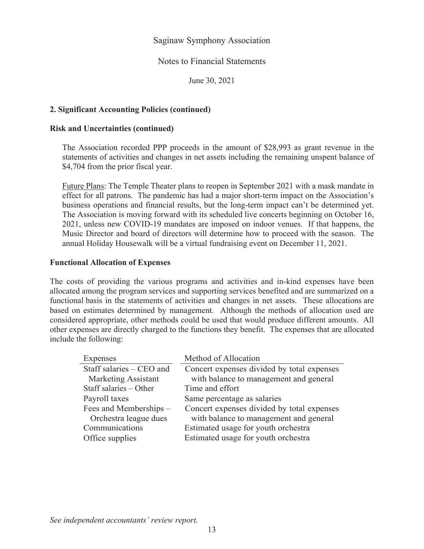#### Notes to Financial Statements

June 30, 2021

#### **2. Significant Accounting Policies (continued)**

#### **Risk and Uncertainties (continued)**

The Association recorded PPP proceeds in the amount of \$28,993 as grant revenue in the statements of activities and changes in net assets including the remaining unspent balance of \$4,704 from the prior fiscal year.

Future Plans: The Temple Theater plans to reopen in September 2021 with a mask mandate in effect for all patrons. The pandemic has had a major short-term impact on the Association's business operations and financial results, but the long-term impact can't be determined yet. The Association is moving forward with its scheduled live concerts beginning on October 16, 2021, unless new COVID-19 mandates are imposed on indoor venues. If that happens, the Music Director and board of directors will determine how to proceed with the season. The annual Holiday Housewalk will be a virtual fundraising event on December 11, 2021.

#### **Functional Allocation of Expenses**

The costs of providing the various programs and activities and in-kind expenses have been allocated among the program services and supporting services benefited and are summarized on a functional basis in the statements of activities and changes in net assets. These allocations are based on estimates determined by management. Although the methods of allocation used are considered appropriate, other methods could be used that would produce different amounts. All other expenses are directly charged to the functions they benefit. The expenses that are allocated include the following:

| <b>Expenses</b>          | Method of Allocation                       |
|--------------------------|--------------------------------------------|
| Staff salaries – CEO and | Concert expenses divided by total expenses |
| Marketing Assistant      | with balance to management and general     |
| Staff salaries - Other   | Time and effort                            |
| Payroll taxes            | Same percentage as salaries                |
| Fees and Memberships -   | Concert expenses divided by total expenses |
| Orchestra league dues    | with balance to management and general     |
| Communications           | Estimated usage for youth orchestra        |
| Office supplies          | Estimated usage for youth orchestra        |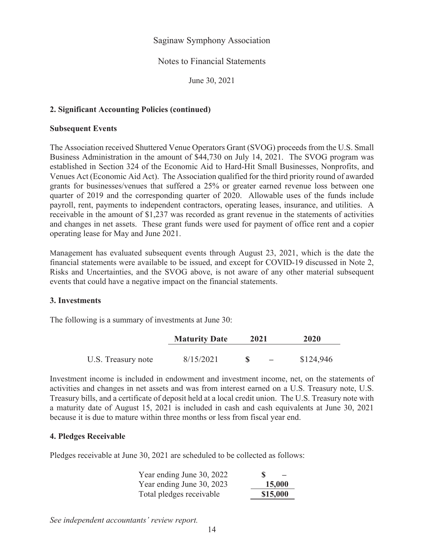#### Notes to Financial Statements

June 30, 2021

## **2. Significant Accounting Policies (continued)**

#### **Subsequent Events**

The Association received Shuttered Venue Operators Grant (SVOG) proceeds from the U.S. Small Business Administration in the amount of \$44,730 on July 14, 2021. The SVOG program was established in Section 324 of the Economic Aid to Hard-Hit Small Businesses, Nonprofits, and Venues Act (Economic Aid Act). The Association qualified for the third priority round of awarded grants for businesses/venues that suffered a 25% or greater earned revenue loss between one quarter of 2019 and the corresponding quarter of 2020. Allowable uses of the funds include payroll, rent, payments to independent contractors, operating leases, insurance, and utilities. A receivable in the amount of \$1,237 was recorded as grant revenue in the statements of activities and changes in net assets. These grant funds were used for payment of office rent and a copier operating lease for May and June 2021.

Management has evaluated subsequent events through August 23, 2021, which is the date the financial statements were available to be issued, and except for COVID-19 discussed in Note 2, Risks and Uncertainties, and the SVOG above, is not aware of any other material subsequent events that could have a negative impact on the financial statements.

#### **3. Investments**

The following is a summary of investments at June 30:

|                    | <b>Maturity Date</b> | 2021 | 2020      |
|--------------------|----------------------|------|-----------|
| U.S. Treasury note | 8/15/2021            |      | \$124,946 |

Investment income is included in endowment and investment income, net, on the statements of activities and changes in net assets and was from interest earned on a U.S. Treasury note, U.S. Treasury bills, and a certificate of deposit held at a local credit union. The U.S. Treasury note with a maturity date of August 15, 2021 is included in cash and cash equivalents at June 30, 2021 because it is due to mature within three months or less from fiscal year end.

#### **4. Pledges Receivable**

Pledges receivable at June 30, 2021 are scheduled to be collected as follows:

| Year ending June 30, 2022 | S        |
|---------------------------|----------|
| Year ending June 30, 2023 | 15,000   |
| Total pledges receivable  | \$15,000 |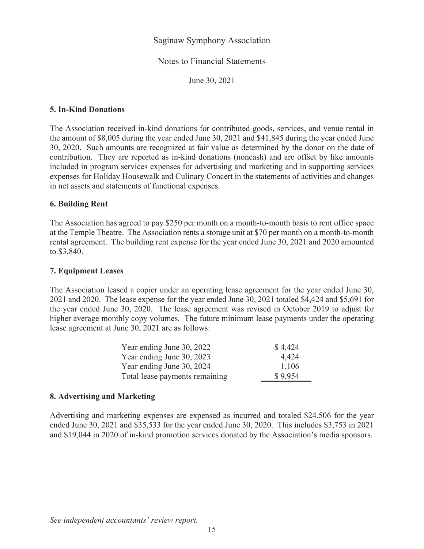#### Notes to Financial Statements

June 30, 2021

#### **5. In-Kind Donations**

The Association received in-kind donations for contributed goods, services, and venue rental in the amount of \$8,005 during the year ended June 30, 2021 and \$41,845 during the year ended June 30, 2020. Such amounts are recognized at fair value as determined by the donor on the date of contribution. They are reported as in-kind donations (noncash) and are offset by like amounts included in program services expenses for advertising and marketing and in supporting services expenses for Holiday Housewalk and Culinary Concert in the statements of activities and changes in net assets and statements of functional expenses.

#### **6. Building Rent**

The Association has agreed to pay \$250 per month on a month-to-month basis to rent office space at the Temple Theatre. The Association rents a storage unit at \$70 per month on a month-to-month rental agreement. The building rent expense for the year ended June 30, 2021 and 2020 amounted to \$3,840.

#### **7. Equipment Leases**

The Association leased a copier under an operating lease agreement for the year ended June 30, 2021 and 2020. The lease expense for the year ended June 30, 2021 totaled \$4,424 and \$5,691 for the year ended June 30, 2020. The lease agreement was revised in October 2019 to adjust for higher average monthly copy volumes. The future minimum lease payments under the operating lease agreement at June 30, 2021 are as follows:

| Year ending June 30, 2022      | \$4,424 |
|--------------------------------|---------|
| Year ending June 30, 2023      | 4,424   |
| Year ending June 30, 2024      | 1,106   |
| Total lease payments remaining | \$9.954 |

#### **8. Advertising and Marketing**

Advertising and marketing expenses are expensed as incurred and totaled \$24,506 for the year ended June 30, 2021 and \$35,533 for the year ended June 30, 2020. This includes \$3,753 in 2021 and \$19,044 in 2020 of in-kind promotion services donated by the Association's media sponsors.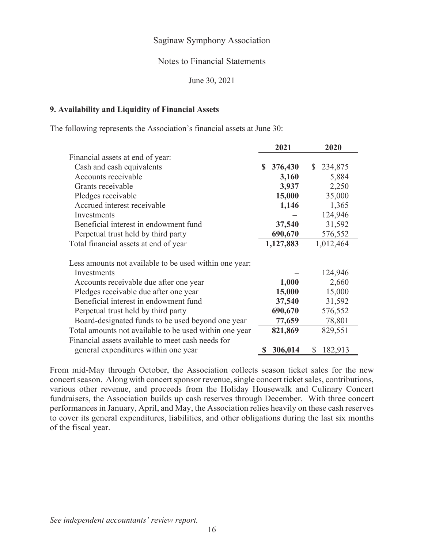#### Notes to Financial Statements

June 30, 2021

#### **9. Availability and Liquidity of Financial Assets**

The following represents the Association's financial assets at June 30:

|                                                        | 2021          | 2020                    |
|--------------------------------------------------------|---------------|-------------------------|
| Financial assets at end of year:                       |               |                         |
| Cash and cash equivalents                              | 376,430<br>S. | 234,875<br><sup>S</sup> |
| Accounts receivable                                    | 3,160         | 5,884                   |
| Grants receivable                                      | 3,937         | 2,250                   |
| Pledges receivable                                     | 15,000        | 35,000                  |
| Accrued interest receivable                            | 1,146         | 1,365                   |
| Investments                                            |               | 124,946                 |
| Beneficial interest in endowment fund                  | 37,540        | 31,592                  |
| Perpetual trust held by third party                    | 690,670       | 576,552                 |
| Total financial assets at end of year                  | 1,127,883     | 1,012,464               |
| Less amounts not available to be used within one year: |               |                         |
| Investments                                            |               | 124,946                 |
| Accounts receivable due after one year                 | 1,000         | 2,660                   |
| Pledges receivable due after one year                  | 15,000        | 15,000                  |
| Beneficial interest in endowment fund                  | 37,540        | 31,592                  |
| Perpetual trust held by third party                    | 690,670       | 576,552                 |
| Board-designated funds to be used beyond one year      | 77,659        | 78,801                  |
| Total amounts not available to be used within one year | 821,869       | 829,551                 |
| Financial assets available to meet cash needs for      |               |                         |
| general expenditures within one year                   | 306,014       | 182,913<br>S            |

From mid-May through October, the Association collects season ticket sales for the new concert season. Along with concert sponsor revenue, single concert ticket sales, contributions, various other revenue, and proceeds from the Holiday Housewalk and Culinary Concert fundraisers, the Association builds up cash reserves through December. With three concert performances in January, April, and May, the Association relies heavily on these cash reserves to cover its general expenditures, liabilities, and other obligations during the last six months of the fiscal year.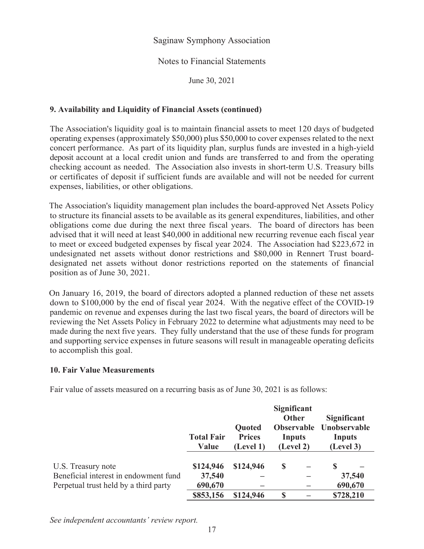## Notes to Financial Statements

June 30, 2021

## **9. Availability and Liquidity of Financial Assets (continued)**

The Association's liquidity goal is to maintain financial assets to meet 120 days of budgeted operating expenses (approximately \$50,000) plus \$50,000 to cover expenses related to the next concert performance. As part of its liquidity plan, surplus funds are invested in a high-yield deposit account at a local credit union and funds are transferred to and from the operating checking account as needed. The Association also invests in short-term U.S. Treasury bills or certificates of deposit if sufficient funds are available and will not be needed for current expenses, liabilities, or other obligations.

The Association's liquidity management plan includes the board-approved Net Assets Policy to structure its financial assets to be available as its general expenditures, liabilities, and other obligations come due during the next three fiscal years. The board of directors has been advised that it will need at least \$40,000 in additional new recurring revenue each fiscal year to meet or exceed budgeted expenses by fiscal year 2024. The Association had \$223,672 in undesignated net assets without donor restrictions and \$80,000 in Rennert Trust boarddesignated net assets without donor restrictions reported on the statements of financial position as of June 30, 2021.

On January 16, 2019, the board of directors adopted a planned reduction of these net assets down to \$100,000 by the end of fiscal year 2024. With the negative effect of the COVID-19 pandemic on revenue and expenses during the last two fiscal years, the board of directors will be reviewing the Net Assets Policy in February 2022 to determine what adjustments may need to be made during the next five years. They fully understand that the use of these funds for program and supporting service expenses in future seasons will result in manageable operating deficits to accomplish this goal.

#### **10. Fair Value Measurements**

Fair value of assets measured on a recurring basis as of June 30, 2021 is as follows:

|                                                                                | <b>Total Fair</b><br><b>Value</b> | Quoted<br><b>Prices</b><br>(Level 1) | <b>Significant</b><br>Other<br><b>Observable</b><br>Inputs<br>(Level 2) | Significant<br>Unobservable<br>Inputs<br>(Level 3) |  |
|--------------------------------------------------------------------------------|-----------------------------------|--------------------------------------|-------------------------------------------------------------------------|----------------------------------------------------|--|
| U.S. Treasury note                                                             | \$124,946                         | \$124,946                            | S                                                                       | <b>S</b>                                           |  |
| Beneficial interest in endowment fund<br>Perpetual trust held by a third party | 37,540<br>690,670                 |                                      |                                                                         | 37,540<br>690,670                                  |  |
|                                                                                | \$853,156                         | \$124,946                            | \$                                                                      | \$728,210                                          |  |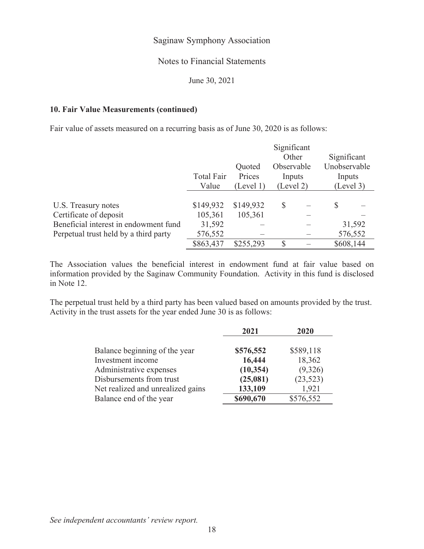## Notes to Financial Statements

June 30, 2021

## **10. Fair Value Measurements (continued)**

Fair value of assets measured on a recurring basis as of June 30, 2020 is as follows:

|                                       |                   |           | Significant |  |              |  |  |
|---------------------------------------|-------------------|-----------|-------------|--|--------------|--|--|
|                                       |                   |           | Other       |  | Significant  |  |  |
|                                       |                   | Quoted    | Observable  |  | Unobservable |  |  |
|                                       | <b>Total Fair</b> | Prices    | Inputs      |  | Inputs       |  |  |
|                                       | Value             | (Level 1) | (Level 2)   |  | (Level 3)    |  |  |
|                                       |                   |           |             |  |              |  |  |
| U.S. Treasury notes                   | \$149,932         | \$149,932 | S           |  | S            |  |  |
| Certificate of deposit                | 105,361           | 105,361   |             |  |              |  |  |
| Beneficial interest in endowment fund | 31,592            |           |             |  | 31,592       |  |  |
| Perpetual trust held by a third party | 576,552           |           |             |  | 576,552      |  |  |
|                                       | \$863,437         | \$255,293 | S           |  | \$608,144    |  |  |

The Association values the beneficial interest in endowment fund at fair value based on information provided by the Saginaw Community Foundation. Activity in this fund is disclosed in Note 12.

The perpetual trust held by a third party has been valued based on amounts provided by the trust. Activity in the trust assets for the year ended June 30 is as follows:

|                                   | 2021      | 2020      |
|-----------------------------------|-----------|-----------|
|                                   |           |           |
| Balance beginning of the year     | \$576,552 | \$589,118 |
| Investment income                 | 16,444    | 18,362    |
| Administrative expenses           | (10, 354) | (9,326)   |
| Disbursements from trust          | (25,081)  | (23,523)  |
| Net realized and unrealized gains | 133,109   | 1,921     |
| Balance end of the year           | \$690,670 | \$576,552 |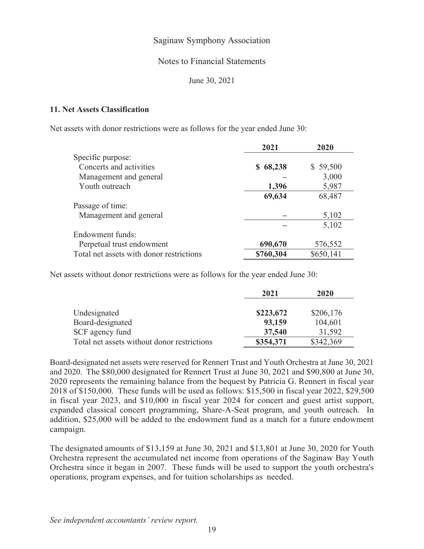#### Notes to Financial Statements

June 30, 2021

#### **11. Net Assets Classification**

Net assets with donor restrictions were as follows for the year ended June 30:

|                                          | 2021          | 2020      |
|------------------------------------------|---------------|-----------|
| Specific purpose:                        |               |           |
| Concerts and activities                  | 68,238<br>SS. | \$59,500  |
| Management and general                   |               | 3,000     |
| Youth outreach                           | 1,396         | 5,987     |
|                                          | 69,634        | 68,487    |
| Passage of time:                         |               |           |
| Management and general                   |               | 5,102     |
|                                          |               | 5,102     |
| Endowment funds:                         |               |           |
| Perpetual trust endowment                | 690,670       | 576,552   |
| Total net assets with donor restrictions | \$760,304     | \$650,141 |

Net assets without donor restrictions were as follows for the year ended June 30:

|                                             | 2021      | 2020      |
|---------------------------------------------|-----------|-----------|
| Undesignated                                | \$223,672 | \$206,176 |
| Board-designated                            | 93,159    | 104,601   |
| SCF agency fund                             | 37,540    | 31,592    |
| Total net assets without donor restrictions | \$354,371 | \$342,369 |

Board-designated net assets were reserved for Rennert Trust and Youth Orchestra at June 30, 2021 and 2020. The \$80,000 designated for Rennert Trust at June 30, 2021 and \$90,800 at June 30, 2020 represents the remaining balance from the bequest by Patricia G. Rennert in fiscal year 2018 of \$150,000. These funds will be used as follows: \$15,500 in fiscal year 2022, \$29,500 in fiscal year 2023, and \$10,000 in fiscal year 2024 for concert and guest artist support, expanded classical concert programming, Share-A-Seat program, and youth outreach. In addition, \$25,000 will be added to the endowment fund as a match for a future endowment campaign.

The designated amounts of \$13,159 at June 30, 2021 and \$13,801 at June 30, 2020 for Youth Orchestra represent the accumulated net income from operations of the Saginaw Bay Youth Orchestra since it began in 2007. These funds will be used to support the youth orchestra's operations, program expenses, and for tuition scholarships as needed.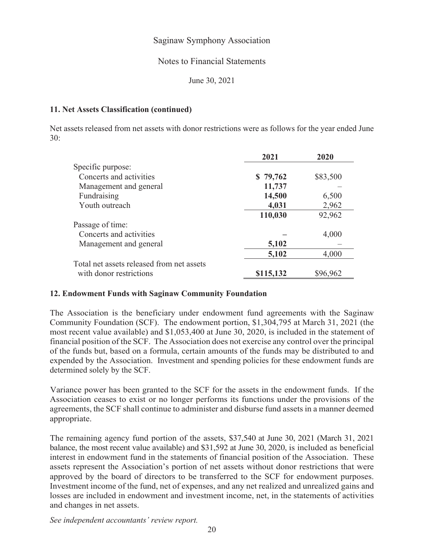#### Notes to Financial Statements

June 30, 2021

#### **11. Net Assets Classification (continued)**

Net assets released from net assets with donor restrictions were as follows for the year ended June 30:

|                                           | 2021      | 2020     |
|-------------------------------------------|-----------|----------|
| Specific purpose:                         |           |          |
| Concerts and activities                   | \$79,762  | \$83,500 |
| Management and general                    | 11,737    |          |
| Fundraising                               | 14,500    | 6,500    |
| Youth outreach                            | 4,031     | 2,962    |
|                                           | 110,030   | 92,962   |
| Passage of time:                          |           |          |
| Concerts and activities                   |           | 4,000    |
| Management and general                    | 5,102     |          |
|                                           | 5,102     | 4,000    |
| Total net assets released from net assets |           |          |
| with donor restrictions                   | \$115,132 | \$96,962 |

#### **12. Endowment Funds with Saginaw Community Foundation**

The Association is the beneficiary under endowment fund agreements with the Saginaw Community Foundation (SCF). The endowment portion, \$1,304,795 at March 31, 2021 (the most recent value available) and \$1,053,400 at June 30, 2020, is included in the statement of financial position of the SCF. The Association does not exercise any control over the principal of the funds but, based on a formula, certain amounts of the funds may be distributed to and expended by the Association. Investment and spending policies for these endowment funds are determined solely by the SCF.

Variance power has been granted to the SCF for the assets in the endowment funds. If the Association ceases to exist or no longer performs its functions under the provisions of the agreements, the SCF shall continue to administer and disburse fund assets in a manner deemed appropriate.

The remaining agency fund portion of the assets, \$37,540 at June 30, 2021 (March 31, 2021 balance, the most recent value available) and \$31,592 at June 30, 2020, is included as beneficial interest in endowment fund in the statements of financial position of the Association. These assets represent the Association's portion of net assets without donor restrictions that were approved by the board of directors to be transferred to the SCF for endowment purposes. Investment income of the fund, net of expenses, and any net realized and unrealized gains and losses are included in endowment and investment income, net, in the statements of activities and changes in net assets.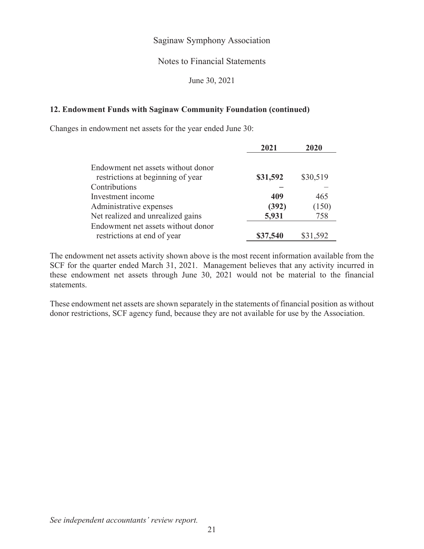## Notes to Financial Statements

June 30, 2021

#### **12. Endowment Funds with Saginaw Community Foundation (continued)**

Changes in endowment net assets for the year ended June 30:

|                                                                         | 2021     | 2020     |
|-------------------------------------------------------------------------|----------|----------|
| Endowment net assets without donor<br>restrictions at beginning of year | \$31,592 | \$30,519 |
| Contributions                                                           |          |          |
| Investment income                                                       | 409      | 465      |
| Administrative expenses                                                 | (392)    | (150)    |
| Net realized and unrealized gains                                       | 5,931    | 758      |
| Endowment net assets without donor<br>restrictions at end of year       | \$37,540 | \$31,592 |

The endowment net assets activity shown above is the most recent information available from the SCF for the quarter ended March 31, 2021. Management believes that any activity incurred in these endowment net assets through June 30, 2021 would not be material to the financial statements.

These endowment net assets are shown separately in the statements of financial position as without donor restrictions, SCF agency fund, because they are not available for use by the Association.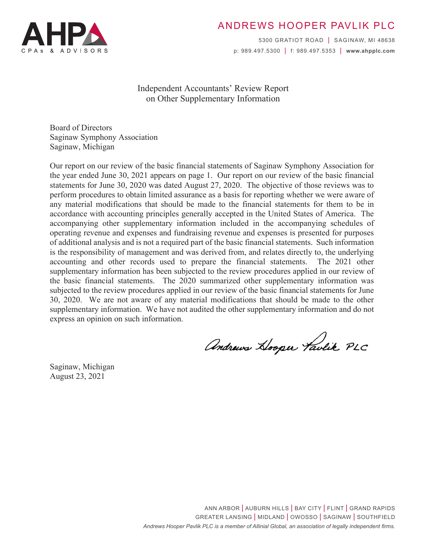

# ANDREWS HOOPER PAVLIK PLC

5300 GRATIOT ROAD | SAGINAW, MI 48638 p: 989.497.5300 | f: 989.497.5353 | **www.ahpplc.com**

## Independent Accountants' Review Report on Other Supplementary Information

Board of Directors Saginaw Symphony Association Saginaw, Michigan

Our report on our review of the basic financial statements of Saginaw Symphony Association for the year ended June 30, 2021 appears on page 1. Our report on our review of the basic financial statements for June 30, 2020 was dated August 27, 2020. The objective of those reviews was to perform procedures to obtain limited assurance as a basis for reporting whether we were aware of any material modifications that should be made to the financial statements for them to be in accordance with accounting principles generally accepted in the United States of America. The accompanying other supplementary information included in the accompanying schedules of operating revenue and expenses and fundraising revenue and expenses is presented for purposes of additional analysis and is not a required part of the basic financial statements. Such information is the responsibility of management and was derived from, and relates directly to, the underlying accounting and other records used to prepare the financial statements. The 2021 other supplementary information has been subjected to the review procedures applied in our review of the basic financial statements. The 2020 summarized other supplementary information was subjected to the review procedures applied in our review of the basic financial statements for June 30, 2020. We are not aware of any material modifications that should be made to the other supplementary information. We have not audited the other supplementary information and do not express an opinion on such information.

Andrews Hooper Taulik PLC

Saginaw, Michigan August 23, 2021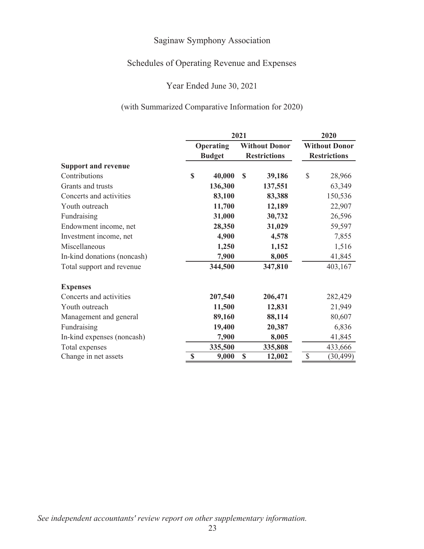# Schedules of Operating Revenue and Expenses

## Year Ended June 30, 2021

## (with Summarized Comparative Information for 2020)

|                             | 2021        |                                   |                                             |              |                                             | 2020      |  |  |
|-----------------------------|-------------|-----------------------------------|---------------------------------------------|--------------|---------------------------------------------|-----------|--|--|
| <b>Support and revenue</b>  |             | <b>Operating</b><br><b>Budget</b> | <b>Without Donor</b><br><b>Restrictions</b> |              | <b>Without Donor</b><br><b>Restrictions</b> |           |  |  |
|                             |             |                                   |                                             |              |                                             |           |  |  |
| Contributions               | $\mathbf S$ | 40,000                            | S                                           | 39,186       | \$                                          | 28,966    |  |  |
| Grants and trusts           |             | 136,300                           |                                             | 137,551      |                                             | 63,349    |  |  |
| Concerts and activities     |             | 83,100                            |                                             | 83,388       |                                             | 150,536   |  |  |
| Youth outreach              |             | 11,700                            | 12,189                                      |              |                                             | 22,907    |  |  |
| Fundraising                 |             | 31,000                            |                                             | 30,732       |                                             | 26,596    |  |  |
| Endowment income, net       |             | 28,350                            |                                             | 31,029       |                                             | 59,597    |  |  |
| Investment income, net      |             | 4,900                             |                                             | 4,578        |                                             | 7,855     |  |  |
| Miscellaneous               |             | 1,250                             |                                             | 1,152        |                                             | 1,516     |  |  |
| In-kind donations (noncash) |             | 7,900                             |                                             | 8,005        |                                             | 41,845    |  |  |
| Total support and revenue   |             | 344,500                           |                                             | 347,810      |                                             | 403,167   |  |  |
| <b>Expenses</b>             |             |                                   |                                             |              |                                             |           |  |  |
| Concerts and activities     |             | 207,540                           |                                             | 206,471      |                                             | 282,429   |  |  |
| Youth outreach              |             | 11,500                            |                                             | 12,831       |                                             | 21,949    |  |  |
| Management and general      |             | 89,160                            |                                             | 88,114       |                                             | 80,607    |  |  |
| Fundraising                 |             | 19,400                            |                                             | 20,387       |                                             | 6,836     |  |  |
| In-kind expenses (noncash)  |             | 7,900                             |                                             | 8,005        |                                             | 41,845    |  |  |
| Total expenses              |             | 335,500                           |                                             | 335,808      |                                             | 433,666   |  |  |
| Change in net assets        | \$          | 9,000                             |                                             | \$<br>12,002 |                                             | (30, 499) |  |  |

*See independent accountants' review report on other supplementary information.*